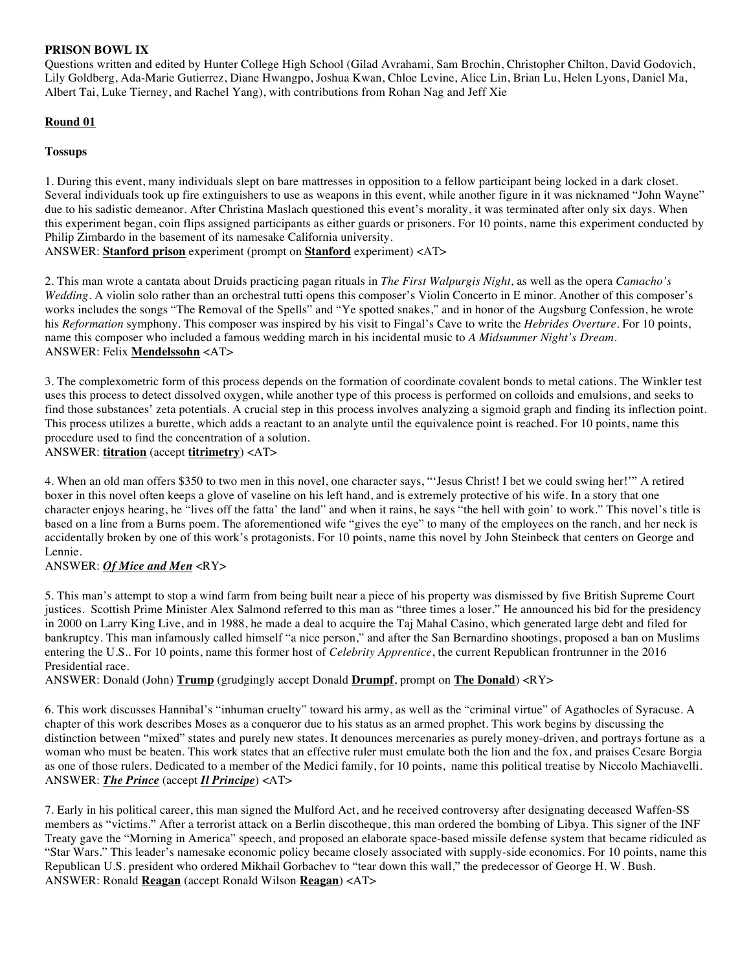## **PRISON BOWL IX**

Questions written and edited by Hunter College High School (Gilad Avrahami, Sam Brochin, Christopher Chilton, David Godovich, Lily Goldberg, Ada-Marie Gutierrez, Diane Hwangpo, Joshua Kwan, Chloe Levine, Alice Lin, Brian Lu, Helen Lyons, Daniel Ma, Albert Tai, Luke Tierney, and Rachel Yang), with contributions from Rohan Nag and Jeff Xie

# **Round 01**

## **Tossups**

1. During this event, many individuals slept on bare mattresses in opposition to a fellow participant being locked in a dark closet. Several individuals took up fire extinguishers to use as weapons in this event, while another figure in it was nicknamed "John Wayne" due to his sadistic demeanor. After Christina Maslach questioned this event's morality, it was terminated after only six days. When this experiment began, coin flips assigned participants as either guards or prisoners. For 10 points, name this experiment conducted by Philip Zimbardo in the basement of its namesake California university.

ANSWER: **Stanford prison** experiment (prompt on **Stanford** experiment) <AT>

2. This man wrote a cantata about Druids practicing pagan rituals in *The First Walpurgis Night,* as well as the opera *Camacho's Wedding*. A violin solo rather than an orchestral tutti opens this composer's Violin Concerto in E minor. Another of this composer's works includes the songs "The Removal of the Spells" and "Ye spotted snakes," and in honor of the Augsburg Confession, he wrote his *Reformation* symphony. This composer was inspired by his visit to Fingal's Cave to write the *Hebrides Overture.* For 10 points, name this composer who included a famous wedding march in his incidental music to *A Midsummer Night's Dream*. ANSWER: Felix **Mendelssohn** <AT>

3. The complexometric form of this process depends on the formation of coordinate covalent bonds to metal cations. The Winkler test uses this process to detect dissolved oxygen, while another type of this process is performed on colloids and emulsions, and seeks to find those substances' zeta potentials. A crucial step in this process involves analyzing a sigmoid graph and finding its inflection point. This process utilizes a burette, which adds a reactant to an analyte until the equivalence point is reached. For 10 points, name this procedure used to find the concentration of a solution.

#### ANSWER: **titration** (accept **titrimetry**) <AT>

4. When an old man offers \$350 to two men in this novel, one character says, "'Jesus Christ! I bet we could swing her!'" A retired boxer in this novel often keeps a glove of vaseline on his left hand, and is extremely protective of his wife. In a story that one character enjoys hearing, he "lives off the fatta' the land" and when it rains, he says "the hell with goin' to work." This novel's title is based on a line from a Burns poem. The aforementioned wife "gives the eye" to many of the employees on the ranch, and her neck is accidentally broken by one of this work's protagonists. For 10 points, name this novel by John Steinbeck that centers on George and Lennie.

#### ANSWER: *Of Mice and Men* <RY>

5. This man's attempt to stop a wind farm from being built near a piece of his property was dismissed by five British Supreme Court justices. Scottish Prime Minister Alex Salmond referred to this man as "three times a loser." He announced his bid for the presidency in 2000 on Larry King Live, and in 1988, he made a deal to acquire the Taj Mahal Casino, which generated large debt and filed for bankruptcy. This man infamously called himself "a nice person," and after the San Bernardino shootings, proposed a ban on Muslims entering the U.S.. For 10 points, name this former host of *Celebrity Apprentice*, the current Republican frontrunner in the 2016 Presidential race.

ANSWER: Donald (John) **Trump** (grudgingly accept Donald **Drumpf**, prompt on **The Donald**) <RY>

6. This work discusses Hannibal's "inhuman cruelty" toward his army, as well as the "criminal virtue" of Agathocles of Syracuse. A chapter of this work describes Moses as a conqueror due to his status as an armed prophet. This work begins by discussing the distinction between "mixed" states and purely new states. It denounces mercenaries as purely money-driven, and portrays fortune as a woman who must be beaten. This work states that an effective ruler must emulate both the lion and the fox, and praises Cesare Borgia as one of those rulers. Dedicated to a member of the Medici family, for 10 points, name this political treatise by Niccolo Machiavelli. ANSWER: *The Prince* (accept *Il Principe*) <AT>

7. Early in his political career, this man signed the Mulford Act, and he received controversy after designating deceased Waffen-SS members as "victims." After a terrorist attack on a Berlin discotheque, this man ordered the bombing of Libya. This signer of the INF Treaty gave the "Morning in America" speech, and proposed an elaborate space-based missile defense system that became ridiculed as "Star Wars." This leader's namesake economic policy became closely associated with supply-side economics. For 10 points, name this Republican U.S. president who ordered Mikhail Gorbachev to "tear down this wall," the predecessor of George H. W. Bush. ANSWER: Ronald **Reagan** (accept Ronald Wilson **Reagan**) <AT>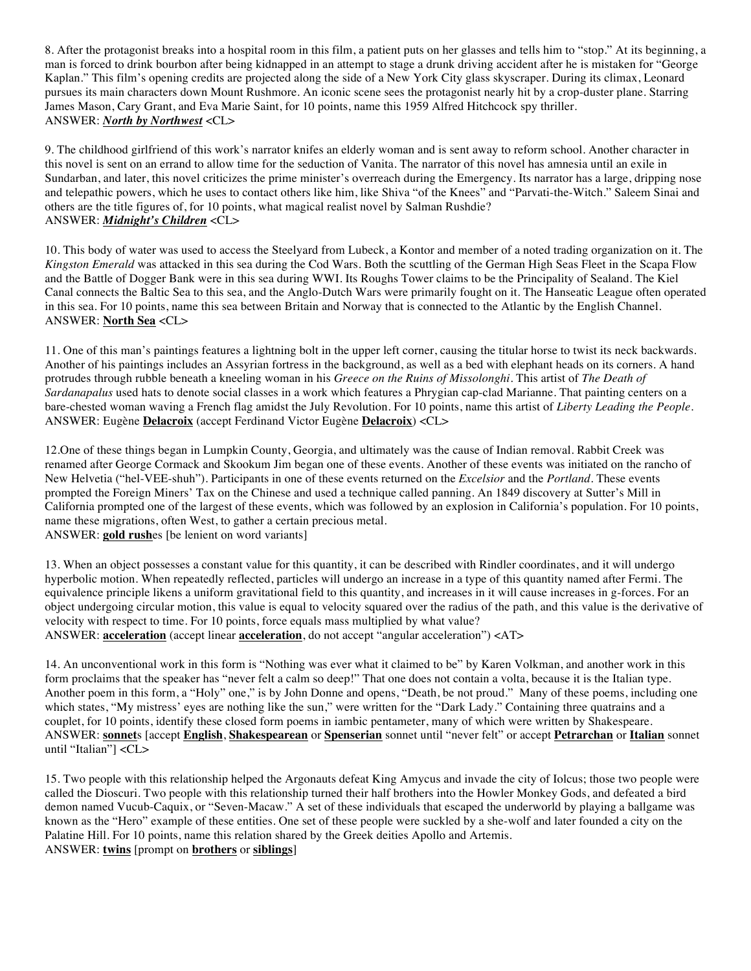8. After the protagonist breaks into a hospital room in this film, a patient puts on her glasses and tells him to "stop." At its beginning, a man is forced to drink bourbon after being kidnapped in an attempt to stage a drunk driving accident after he is mistaken for "George Kaplan." This film's opening credits are projected along the side of a New York City glass skyscraper. During its climax, Leonard pursues its main characters down Mount Rushmore. An iconic scene sees the protagonist nearly hit by a crop-duster plane. Starring James Mason, Cary Grant, and Eva Marie Saint, for 10 points, name this 1959 Alfred Hitchcock spy thriller. ANSWER: *North by Northwest* <CL>

9. The childhood girlfriend of this work's narrator knifes an elderly woman and is sent away to reform school. Another character in this novel is sent on an errand to allow time for the seduction of Vanita. The narrator of this novel has amnesia until an exile in Sundarban, and later, this novel criticizes the prime minister's overreach during the Emergency. Its narrator has a large, dripping nose and telepathic powers, which he uses to contact others like him, like Shiva "of the Knees" and "Parvati-the-Witch." Saleem Sinai and others are the title figures of, for 10 points, what magical realist novel by Salman Rushdie? ANSWER: *Midnight's Children* <CL>

10. This body of water was used to access the Steelyard from Lubeck, a Kontor and member of a noted trading organization on it. The *Kingston Emerald* was attacked in this sea during the Cod Wars. Both the scuttling of the German High Seas Fleet in the Scapa Flow and the Battle of Dogger Bank were in this sea during WWI. Its Roughs Tower claims to be the Principality of Sealand. The Kiel Canal connects the Baltic Sea to this sea, and the Anglo-Dutch Wars were primarily fought on it. The Hanseatic League often operated in this sea. For 10 points, name this sea between Britain and Norway that is connected to the Atlantic by the English Channel. ANSWER: **North Sea** <CL>

11. One of this man's paintings features a lightning bolt in the upper left corner, causing the titular horse to twist its neck backwards. Another of his paintings includes an Assyrian fortress in the background, as well as a bed with elephant heads on its corners. A hand protrudes through rubble beneath a kneeling woman in his *Greece on the Ruins of Missolonghi*. This artist of *The Death of Sardanapalus* used hats to denote social classes in a work which features a Phrygian cap-clad Marianne. That painting centers on a bare-chested woman waving a French flag amidst the July Revolution. For 10 points, name this artist of *Liberty Leading the People*. ANSWER: Eugène **Delacroix** (accept Ferdinand Victor Eugène **Delacroix**) <CL>

12.One of these things began in Lumpkin County, Georgia, and ultimately was the cause of Indian removal. Rabbit Creek was renamed after George Cormack and Skookum Jim began one of these events. Another of these events was initiated on the rancho of New Helvetia ("hel-VEE-shuh"). Participants in one of these events returned on the *Excelsior* and the *Portland*. These events prompted the Foreign Miners' Tax on the Chinese and used a technique called panning. An 1849 discovery at Sutter's Mill in California prompted one of the largest of these events, which was followed by an explosion in California's population. For 10 points, name these migrations, often West, to gather a certain precious metal. ANSWER: **gold rush**es [be lenient on word variants]

13. When an object possesses a constant value for this quantity, it can be described with Rindler coordinates, and it will undergo hyperbolic motion. When repeatedly reflected, particles will undergo an increase in a type of this quantity named after Fermi. The equivalence principle likens a uniform gravitational field to this quantity, and increases in it will cause increases in g-forces. For an object undergoing circular motion, this value is equal to velocity squared over the radius of the path, and this value is the derivative of velocity with respect to time. For 10 points, force equals mass multiplied by what value? ANSWER: **acceleration** (accept linear **acceleration**, do not accept "angular acceleration") <AT>

14. An unconventional work in this form is "Nothing was ever what it claimed to be" by Karen Volkman, and another work in this form proclaims that the speaker has "never felt a calm so deep!" That one does not contain a volta, because it is the Italian type. Another poem in this form, a "Holy" one," is by John Donne and opens, "Death, be not proud." Many of these poems, including one which states, "My mistress' eyes are nothing like the sun," were written for the "Dark Lady." Containing three quatrains and a couplet, for 10 points, identify these closed form poems in iambic pentameter, many of which were written by Shakespeare. ANSWER: **sonnet**s [accept **English**, **Shakespearean** or **Spenserian** sonnet until "never felt" or accept **Petrarchan** or **Italian** sonnet until "Italian"] <CL>

15. Two people with this relationship helped the Argonauts defeat King Amycus and invade the city of Iolcus; those two people were called the Dioscuri. Two people with this relationship turned their half brothers into the Howler Monkey Gods, and defeated a bird demon named Vucub-Caquix, or "Seven-Macaw." A set of these individuals that escaped the underworld by playing a ballgame was known as the "Hero" example of these entities. One set of these people were suckled by a she-wolf and later founded a city on the Palatine Hill. For 10 points, name this relation shared by the Greek deities Apollo and Artemis. ANSWER: **twins** [prompt on **brothers** or **siblings**]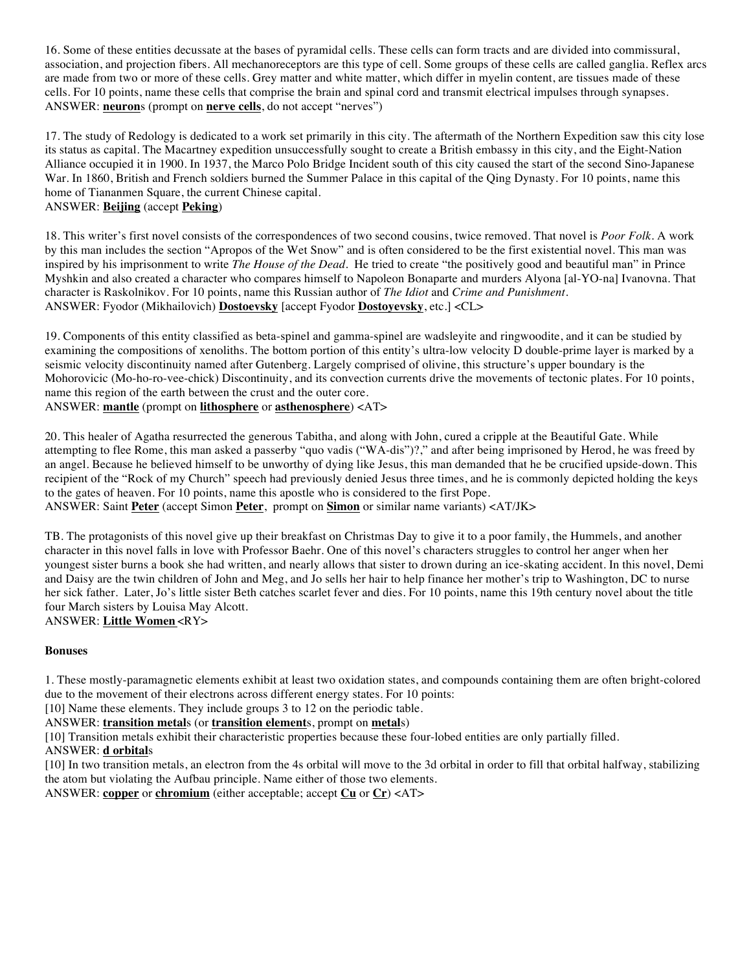16. Some of these entities decussate at the bases of pyramidal cells. These cells can form tracts and are divided into commissural, association, and projection fibers. All mechanoreceptors are this type of cell. Some groups of these cells are called ganglia. Reflex arcs are made from two or more of these cells. Grey matter and white matter, which differ in myelin content, are tissues made of these cells. For 10 points, name these cells that comprise the brain and spinal cord and transmit electrical impulses through synapses. ANSWER: **neuron**s (prompt on **nerve cells**, do not accept "nerves")

17. The study of Redology is dedicated to a work set primarily in this city. The aftermath of the Northern Expedition saw this city lose its status as capital. The Macartney expedition unsuccessfully sought to create a British embassy in this city, and the Eight-Nation Alliance occupied it in 1900. In 1937, the Marco Polo Bridge Incident south of this city caused the start of the second Sino-Japanese War. In 1860, British and French soldiers burned the Summer Palace in this capital of the Qing Dynasty. For 10 points, name this home of Tiananmen Square, the current Chinese capital. ANSWER: **Beijing** (accept **Peking**)

18. This writer's first novel consists of the correspondences of two second cousins, twice removed. That novel is *Poor Folk*. A work by this man includes the section "Apropos of the Wet Snow" and is often considered to be the first existential novel. This man was inspired by his imprisonment to write *The House of the Dead*. He tried to create "the positively good and beautiful man" in Prince Myshkin and also created a character who compares himself to Napoleon Bonaparte and murders Alyona [al-YO-na] Ivanovna. That character is Raskolnikov. For 10 points, name this Russian author of *The Idiot* and *Crime and Punishment*. ANSWER: Fyodor (Mikhailovich) **Dostoevsky** [accept Fyodor **Dostoyevsky**, etc.] <CL>

19. Components of this entity classified as beta-spinel and gamma-spinel are wadsleyite and ringwoodite, and it can be studied by examining the compositions of xenoliths. The bottom portion of this entity's ultra-low velocity D double-prime layer is marked by a seismic velocity discontinuity named after Gutenberg. Largely comprised of olivine, this structure's upper boundary is the Mohorovicic (Mo-ho-ro-vee-chick) Discontinuity, and its convection currents drive the movements of tectonic plates. For 10 points, name this region of the earth between the crust and the outer core.

ANSWER: **mantle** (prompt on **lithosphere** or **asthenosphere**) <AT>

20. This healer of Agatha resurrected the generous Tabitha, and along with John, cured a cripple at the Beautiful Gate. While attempting to flee Rome, this man asked a passerby "quo vadis ("WA-dis")?," and after being imprisoned by Herod, he was freed by an angel. Because he believed himself to be unworthy of dying like Jesus, this man demanded that he be crucified upside-down. This recipient of the "Rock of my Church" speech had previously denied Jesus three times, and he is commonly depicted holding the keys to the gates of heaven. For 10 points, name this apostle who is considered to the first Pope.

ANSWER: Saint **Peter** (accept Simon **Peter**, prompt on **Simon** or similar name variants) <AT/JK>

TB. The protagonists of this novel give up their breakfast on Christmas Day to give it to a poor family, the Hummels, and another character in this novel falls in love with Professor Baehr. One of this novel's characters struggles to control her anger when her youngest sister burns a book she had written, and nearly allows that sister to drown during an ice-skating accident. In this novel, Demi and Daisy are the twin children of John and Meg, and Jo sells her hair to help finance her mother's trip to Washington, DC to nurse her sick father. Later, Jo's little sister Beth catches scarlet fever and dies. For 10 points, name this 19th century novel about the title four March sisters by Louisa May Alcott. ANSWER: **Little Women** <RY>

# **Bonuses**

1. These mostly-paramagnetic elements exhibit at least two oxidation states, and compounds containing them are often bright-colored due to the movement of their electrons across different energy states. For 10 points:

[10] Name these elements. They include groups 3 to 12 on the periodic table.

ANSWER: **transition metal**s (or **transition element**s, prompt on **metal**s)

[10] Transition metals exhibit their characteristic properties because these four-lobed entities are only partially filled.

#### ANSWER: **d orbital**s

[10] In two transition metals, an electron from the 4s orbital will move to the 3d orbital in order to fill that orbital halfway, stabilizing the atom but violating the Aufbau principle. Name either of those two elements.

ANSWER: **copper** or **chromium** (either acceptable; accept **Cu** or **Cr**) <AT>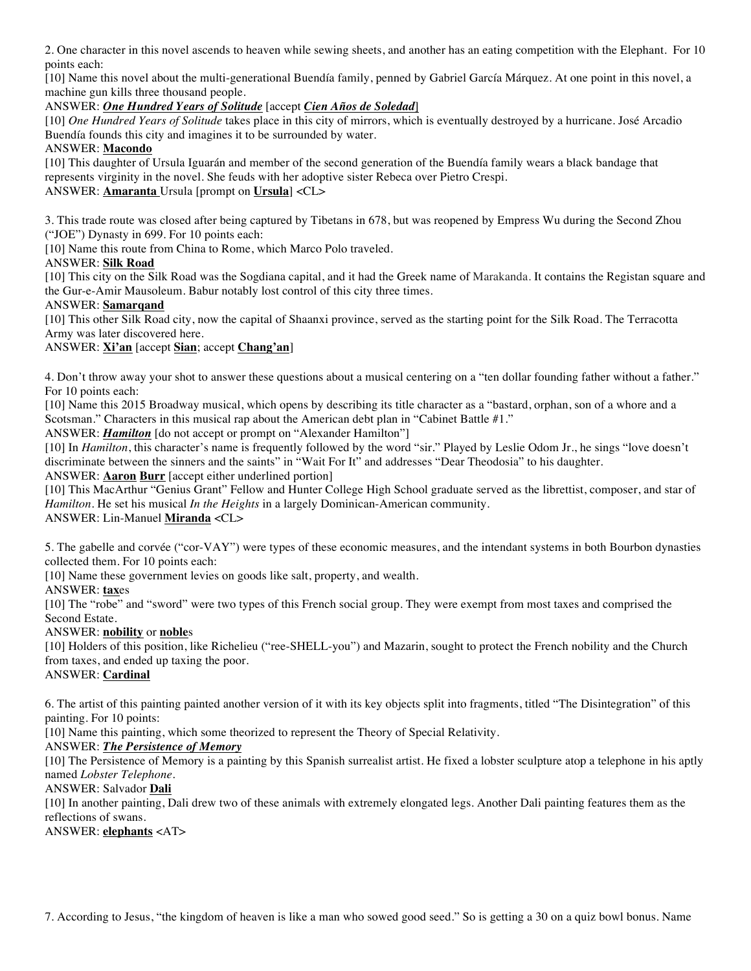2. One character in this novel ascends to heaven while sewing sheets, and another has an eating competition with the Elephant. For 10 points each:

[10] Name this novel about the multi-generational Buendía family, penned by Gabriel García Márquez. At one point in this novel, a machine gun kills three thousand people.

## ANSWER: *One Hundred Years of Solitude* [accept *Cien Años de Soledad*]

[10] *One Hundred Years of Solitude* takes place in this city of mirrors, which is eventually destroyed by a hurricane. José Arcadio Buendía founds this city and imagines it to be surrounded by water.

#### ANSWER: **Macondo**

[10] This daughter of Ursula Iguarán and member of the second generation of the Buendía family wears a black bandage that represents virginity in the novel. She feuds with her adoptive sister Rebeca over Pietro Crespi. ANSWER: **Amaranta** Ursula [prompt on **Ursula**] <CL>

3. This trade route was closed after being captured by Tibetans in 678, but was reopened by Empress Wu during the Second Zhou ("JOE") Dynasty in 699. For 10 points each:

[10] Name this route from China to Rome, which Marco Polo traveled.

## ANSWER: **Silk Road**

[10] This city on the Silk Road was the Sogdiana capital, and it had the Greek name of Marakanda. It contains the Registan square and the Gur-e-Amir Mausoleum. Babur notably lost control of this city three times.

## ANSWER: **Samarqand**

[10] This other Silk Road city, now the capital of Shaanxi province, served as the starting point for the Silk Road. The Terracotta Army was later discovered here.

## ANSWER: **Xi'an** [accept **Sian**; accept **Chang'an**]

4. Don't throw away your shot to answer these questions about a musical centering on a "ten dollar founding father without a father." For 10 points each:

[10] Name this 2015 Broadway musical, which opens by describing its title character as a "bastard, orphan, son of a whore and a Scotsman." Characters in this musical rap about the American debt plan in "Cabinet Battle #1."

ANSWER: *Hamilton* [do not accept or prompt on "Alexander Hamilton"]

[10] In *Hamilton*, this character's name is frequently followed by the word "sir." Played by Leslie Odom Jr., he sings "love doesn't discriminate between the sinners and the saints" in "Wait For It" and addresses "Dear Theodosia" to his daughter.

#### ANSWER: **Aaron Burr** [accept either underlined portion]

[10] This MacArthur "Genius Grant" Fellow and Hunter College High School graduate served as the librettist, composer, and star of *Hamilton*. He set his musical *In the Heights* in a largely Dominican-American community.

# ANSWER: Lin-Manuel **Miranda** <CL>

5. The gabelle and corvée ("cor-VAY") were types of these economic measures, and the intendant systems in both Bourbon dynasties collected them. For 10 points each:

[10] Name these government levies on goods like salt, property, and wealth.

ANSWER: **tax**es

[10] The "robe" and "sword" were two types of this French social group. They were exempt from most taxes and comprised the Second Estate.

#### ANSWER: **nobility** or **noble**s

[10] Holders of this position, like Richelieu ("ree-SHELL-you") and Mazarin, sought to protect the French nobility and the Church from taxes, and ended up taxing the poor.

# ANSWER: **Cardinal**

6. The artist of this painting painted another version of it with its key objects split into fragments, titled "The Disintegration" of this painting. For 10 points:

[10] Name this painting, which some theorized to represent the Theory of Special Relativity.

#### ANSWER: *The Persistence of Memory*

[10] The Persistence of Memory is a painting by this Spanish surrealist artist. He fixed a lobster sculpture atop a telephone in his aptly named *Lobster Telephone*.

#### ANSWER: Salvador **Dali**

[10] In another painting, Dali drew two of these animals with extremely elongated legs. Another Dali painting features them as the reflections of swans.

ANSWER: **elephants** <AT>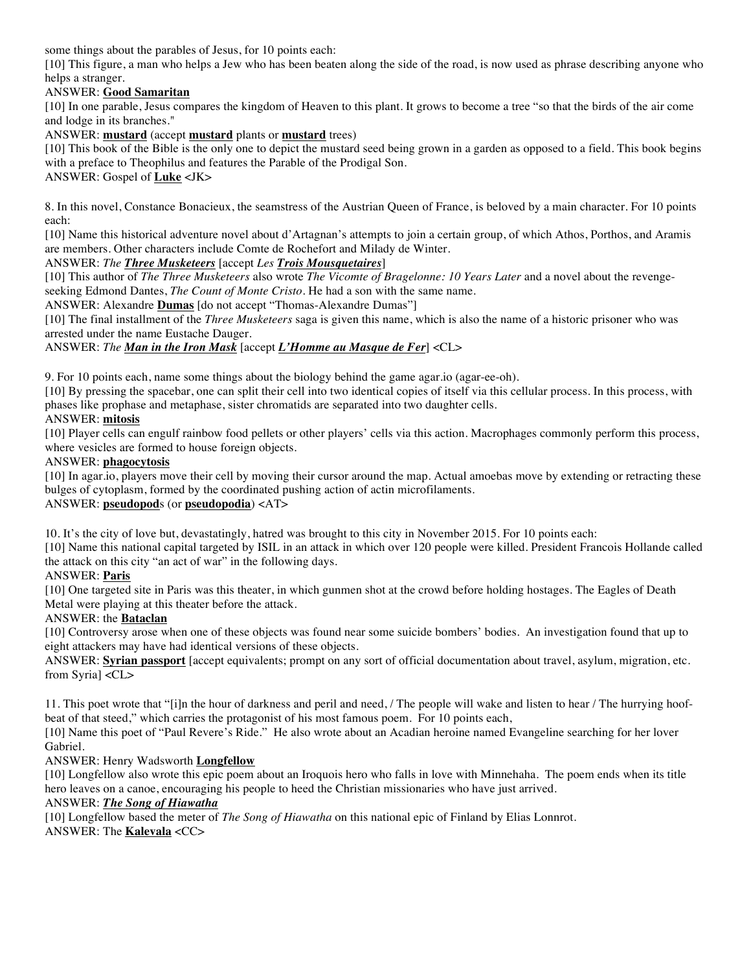some things about the parables of Jesus, for 10 points each:

[10] This figure, a man who helps a Jew who has been beaten along the side of the road, is now used as phrase describing anyone who helps a stranger.

# ANSWER: **Good Samaritan**

[10] In one parable, Jesus compares the kingdom of Heaven to this plant. It grows to become a tree "so that the birds of the air come and lodge in its branches."

ANSWER: **mustard** (accept **mustard** plants or **mustard** trees)

[10] This book of the Bible is the only one to depict the mustard seed being grown in a garden as opposed to a field. This book begins with a preface to Theophilus and features the Parable of the Prodigal Son.

ANSWER: Gospel of **Luke** <JK>

8. In this novel, Constance Bonacieux, the seamstress of the Austrian Queen of France, is beloved by a main character. For 10 points each:

[10] Name this historical adventure novel about d'Artagnan's attempts to join a certain group, of which Athos, Porthos, and Aramis are members. Other characters include Comte de Rochefort and Milady de Winter.

# ANSWER: *The Three Musketeers* [accept *Les Trois Mousquetaires*]

[10] This author of *The Three Musketeers* also wrote *The Vicomte of Bragelonne: 10 Years Later* and a novel about the revengeseeking Edmond Dantes, *The Count of Monte Cristo*. He had a son with the same name.

ANSWER: Alexandre **Dumas** [do not accept "Thomas-Alexandre Dumas"]

[10] The final installment of the *Three Musketeers* saga is given this name, which is also the name of a historic prisoner who was arrested under the name Eustache Dauger.

# ANSWER: *The Man in the Iron Mask* [accept *L'Homme au Masque de Fer*] <CL>

9. For 10 points each, name some things about the biology behind the game agar.io (agar-ee-oh).

[10] By pressing the spacebar, one can split their cell into two identical copies of itself via this cellular process. In this process, with phases like prophase and metaphase, sister chromatids are separated into two daughter cells.

# ANSWER: **mitosis**

[10] Player cells can engulf rainbow food pellets or other players' cells via this action. Macrophages commonly perform this process, where vesicles are formed to house foreign objects.

## ANSWER: **phagocytosis**

[10] In agar.io, players move their cell by moving their cursor around the map. Actual amoebas move by extending or retracting these bulges of cytoplasm, formed by the coordinated pushing action of actin microfilaments.

# ANSWER: **pseudopod**s (or **pseudopodia**) <AT>

10. It's the city of love but, devastatingly, hatred was brought to this city in November 2015. For 10 points each:

[10] Name this national capital targeted by ISIL in an attack in which over 120 people were killed. President Francois Hollande called the attack on this city "an act of war" in the following days.

# ANSWER: **Paris**

[10] One targeted site in Paris was this theater, in which gunmen shot at the crowd before holding hostages. The Eagles of Death Metal were playing at this theater before the attack.

#### ANSWER: the **Bataclan**

[10] Controversy arose when one of these objects was found near some suicide bombers' bodies. An investigation found that up to eight attackers may have had identical versions of these objects.

ANSWER: **Syrian passport** [accept equivalents; prompt on any sort of official documentation about travel, asylum, migration, etc. from Syria] <CL>

11. This poet wrote that "[i]n the hour of darkness and peril and need, / The people will wake and listen to hear / The hurrying hoofbeat of that steed," which carries the protagonist of his most famous poem. For 10 points each,

[10] Name this poet of "Paul Revere's Ride." He also wrote about an Acadian heroine named Evangeline searching for her lover Gabriel.

# ANSWER: Henry Wadsworth **Longfellow**

[10] Longfellow also wrote this epic poem about an Iroquois hero who falls in love with Minnehaha. The poem ends when its title hero leaves on a canoe, encouraging his people to heed the Christian missionaries who have just arrived.

#### ANSWER: *The Song of Hiawatha*

[10] Longfellow based the meter of *The Song of Hiawatha* on this national epic of Finland by Elias Lonnrot. ANSWER: The **Kalevala** <CC>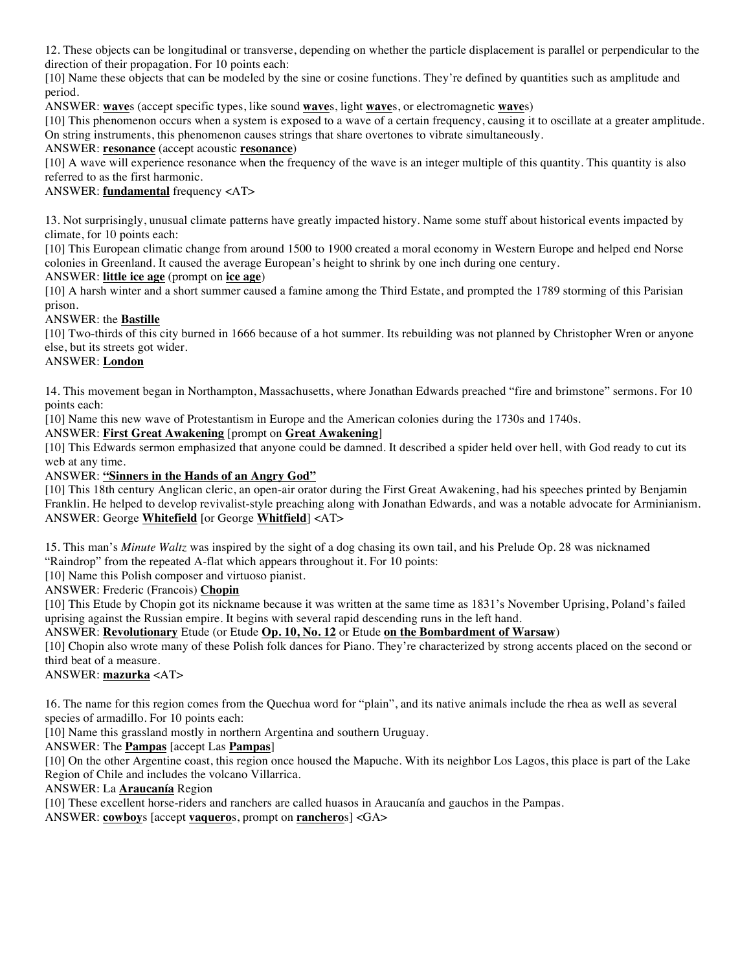12. These objects can be longitudinal or transverse, depending on whether the particle displacement is parallel or perpendicular to the direction of their propagation. For 10 points each:

[10] Name these objects that can be modeled by the sine or cosine functions. They're defined by quantities such as amplitude and period.

ANSWER: **wave**s (accept specific types, like sound **wave**s, light **wave**s, or electromagnetic **wave**s)

[10] This phenomenon occurs when a system is exposed to a wave of a certain frequency, causing it to oscillate at a greater amplitude. On string instruments, this phenomenon causes strings that share overtones to vibrate simultaneously.

ANSWER: **resonance** (accept acoustic **resonance**)

[10] A wave will experience resonance when the frequency of the wave is an integer multiple of this quantity. This quantity is also referred to as the first harmonic.

ANSWER: **fundamental** frequency <AT>

13. Not surprisingly, unusual climate patterns have greatly impacted history. Name some stuff about historical events impacted by climate, for 10 points each:

[10] This European climatic change from around 1500 to 1900 created a moral economy in Western Europe and helped end Norse colonies in Greenland. It caused the average European's height to shrink by one inch during one century.

ANSWER: **little ice age** (prompt on **ice age**)

[10] A harsh winter and a short summer caused a famine among the Third Estate, and prompted the 1789 storming of this Parisian prison.

ANSWER: the **Bastille**

[10] Two-thirds of this city burned in 1666 because of a hot summer. Its rebuilding was not planned by Christopher Wren or anyone else, but its streets got wider.

#### ANSWER: **London**

14. This movement began in Northampton, Massachusetts, where Jonathan Edwards preached "fire and brimstone" sermons. For 10 points each:

[10] Name this new wave of Protestantism in Europe and the American colonies during the 1730s and 1740s.

ANSWER: **First Great Awakening** [prompt on **Great Awakening**]

[10] This Edwards sermon emphasized that anyone could be damned. It described a spider held over hell, with God ready to cut its web at any time.

ANSWER: **"Sinners in the Hands of an Angry God"**

[10] This 18th century Anglican cleric, an open-air orator during the First Great Awakening, had his speeches printed by Benjamin Franklin. He helped to develop revivalist-style preaching along with Jonathan Edwards, and was a notable advocate for Arminianism. ANSWER: George **Whitefield** [or George **Whitfield**] <AT>

15. This man's *Minute Waltz* was inspired by the sight of a dog chasing its own tail, and his Prelude Op. 28 was nicknamed "Raindrop" from the repeated A-flat which appears throughout it. For 10 points:

[10] Name this Polish composer and virtuoso pianist.

ANSWER: Frederic (Francois) **Chopin**

[10] This Etude by Chopin got its nickname because it was written at the same time as 1831's November Uprising, Poland's failed uprising against the Russian empire. It begins with several rapid descending runs in the left hand.

ANSWER: **Revolutionary** Etude (or Etude **Op. 10, No. 12** or Etude **on the Bombardment of Warsaw**)

[10] Chopin also wrote many of these Polish folk dances for Piano. They're characterized by strong accents placed on the second or third beat of a measure.

ANSWER: **mazurka** <AT>

16. The name for this region comes from the Quechua word for "plain", and its native animals include the rhea as well as several species of armadillo. For 10 points each:

[10] Name this grassland mostly in northern Argentina and southern Uruguay.

ANSWER: The **Pampas** [accept Las **Pampas**]

[10] On the other Argentine coast, this region once housed the Mapuche. With its neighbor Los Lagos, this place is part of the Lake Region of Chile and includes the volcano Villarrica.

ANSWER: La **Araucanía** Region

[10] These excellent horse-riders and ranchers are called huasos in Araucanía and gauchos in the Pampas.

ANSWER: **cowboy**s [accept **vaquero**s, prompt on **ranchero**s] <GA>